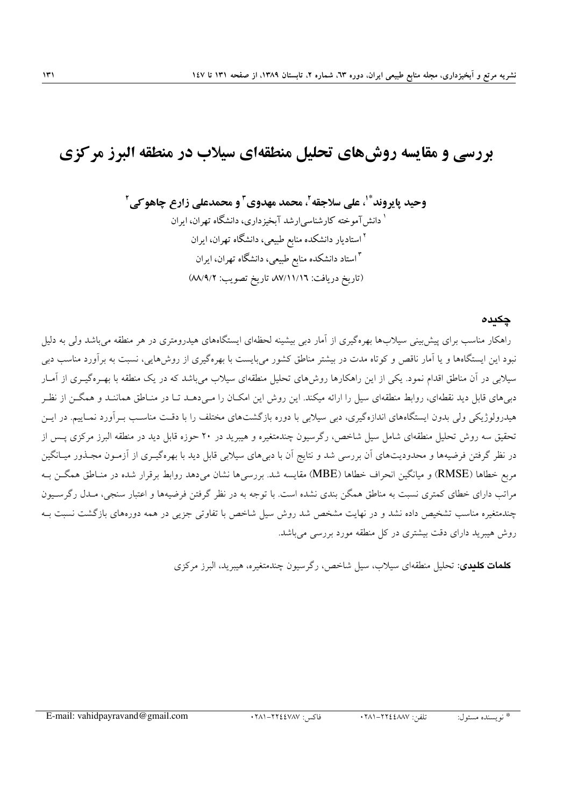# بررسی و مقایسه روش های تحلیل منطقهای سیلاب در منطقه البرز مرکزی

وحيد پايروند ٌ ْ، علي سلاجقه ْ، محمد مهدوي ّ و محمدعلي زارع چاهو کي ْ <sup>۱</sup> دانش آموخته کارشناسی ارشد آبخیز داری، دانشگاه تهران، ایران <sup>۲</sup> استادیار دانشکده منابع طبیعی، دانشگاه تهران، ایران <sup>۳</sup> استاد دانشکده منابع طبیعی، دانشگاه تهران، ایران (تاريخ دريافت: ٨٧/١١/١٦) تاريخ تصويب: ٨٨/٩/٢)

#### چکىدە

راهکار مناسب برای پیش بینی سیلابها بهرهگیری از آمار دبی بیشینه لحظهای ایستگاههای هیدرومتری در هر منطقه میباشد ولی به دلیل نبود این ایستگاهها و یا آمار ناقص و کوتاه مدت در بیشتر مناطق کشور میبایست با بهرهگیری از روشهایی، نسبت به برآورد مناسب دبی سیلابی در آن مناطق اقدام نمود. یکی از این راهکارها روشهای تحلیل منطقهای سیلاب میباشد که در یک منطقه با بهـرهگیـری از آمـار دبی های قابل دید نقطهای، روابط منطقهای سیل را ارائه میکند. این روش این امکـان را مـی دهــد تــا در منــاطق هماننــد و همگــن از نظـر هیدرولوژیکی ولی بدون ایستگاههای اندازهگیری، دبی سیلابی با دوره بازگشتهای مختلف را با دقت مناسب بـرآورد نمـاییم. در ایــن تحقیق سه روش تحلیل منطقهای شامل سیل شاخص، رگرسیون چندمتغیره و هیبرید در ۲۰ حوزه قابل دید در منطقه البرز مرکزی پس از در نظر گرفتن فرضیهها و محدودیتهای آن بررسی شد و نتایج آن با دبیهای سیلابی قابل دید با بهرهگیـری از آزمـون مجـذور میـانگین مربع خطاها (RMSE) و میانگین انحراف خطاها (MBE) مقایسه شد. بررسی۵ ا نشان میدهد روابط برقرار شده در منـاطق همگــن بـه مراتب دارای خطای کمتری نسبت به مناطق همگن بندی نشده است. با توجه به در نظر گرفتن فرضیهها و اعتبار سنجی، مـدل رگرســیون چندمتغیره مناسب تشخیص داده نشد و در نهایت مشخص شد روش سیل شاخص با تفاوتی جزیی در همه دورههای بازگشت نسبت بــه روش هیبرید دارای دقت بیشتری در کل منطقه مورد بررسی میباشد.

**کلمات کلندی:** تحلیل منطقهای سیلاب، سیل شاخص، رگرسیون چندمتغیره، هیبرید، البرز مرکزی

تلفر: ٢٨١-٢٢٢٤ ٢٨١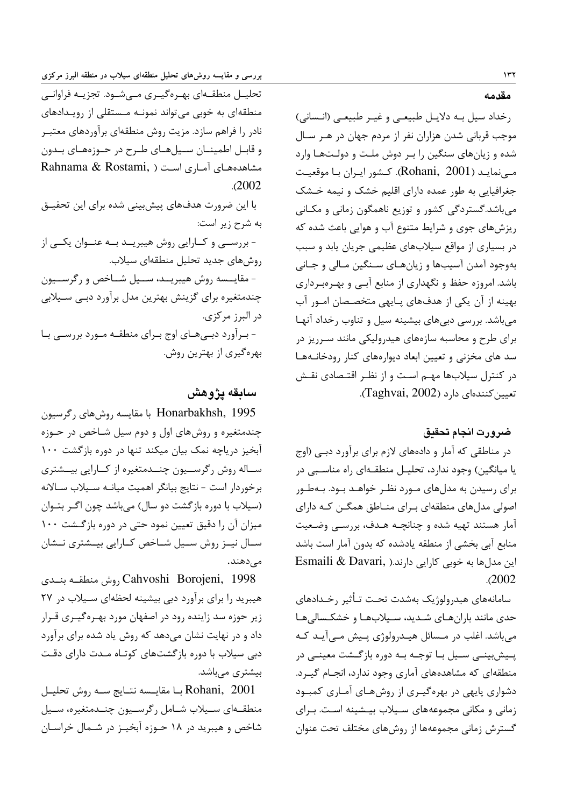تحلیــل منطقــهای بهــرهگیــری مــیشــود. تجزیــه فراوانــی منطقهای به خوبی می تواند نمونـه مـستقلی از رویـدادهای نادر را فراهم سازد. مزیت روش منطقهای برآوردهای معتبـر و قابـل اطمينـان سـيلهـاي طـرح در حـوزههـاي بـدون Rahnama & Rostami, ) مشاهدههای آماری است  $.2002$ با این ضرورت هدفهای پیش بینی شده برای این تحقیـق به شرح زير است: - بررسـي و كـارايي روش هيبريـد بـه عنـوان يكـي از روش های جدید تحلیل منطقهای سیلاب. - مقايــسه روش هيبريــد، ســيل شــاخص و رگرســيون چندمتغیره برای گزینش بهترین مدل برآورد دبـی سـیلابی در البرز مركزي. - برآورد دبےهای اوج برای منطقـه مـورد بررسـی بـا بهرهگیری از بهترین روش.

بررسی و مقایسه روش۵ای تحلیل منطقهای سیلاب در منطقه البرز مرکزی

## سابقه يژوهش

Honarbakhsh, 1995 با مقایسه روشهای رگرسیون چندمتغیره و روش های اول و دوم سیل شـاخص در حـوزه آبخیز دریاچه نمک بیان میکند تنها در دوره بازگشت ۱۰۰ سـاله روش رگرســيون چنــدمتغيره از كــارايي بيــشتري برخوردار است - نتايج بيانگر اهميت ميانـه سـيلاب سـالانه (سیلاب با دوره بازگشت دو سال) میباشد چون اگر بتوان میزان آن را دقیق تعیین نمود حتی در دوره بازگشت ۱۰۰ سـال نيــز روش ســيل شــاخص كــارايي بيــشترى نــشان مے دھند۔

Cahvoshi Borojeni, 1998 روش منطقــه بنــدى هیبرید را برای برآورد دبی بیشینه لحظهای سـیلاب در ٢٧ زیر حوزه سد زاینده رود در اصفهان مورد بهـرهگیـری قـرار داد و در نهایت نشان میدهد که روش یاد شده برای برآورد دبی سیلاب با دوره بازگشتهای کوتاه مـدت دارای دقـت بیشتری مے باشد.

Rohani, 2001 بــا مقايــسه نتــايج ســه روش تحليــل منطقــهای ســیلاب شــامل رگرســیون چنــدمتغیره، ســیل شاخص و هیبرید در ۱۸ حـوزه آبخیـز در شـمال خراسـان مقدمه

رخداد سيل بـه دلايـل طبيعـي و غيـر طبيعـي (انـساني) موجب قربانی شدن هزاران نفر از مردم جهان در هـر سـال شده و زیانهای سنگین را بـر دوش ملـت و دولـتهـا وارد مے نمایـد (Rohani, 2001). کـشور ایـران بـا موقعیـت جغرافیایی به طور عمده دارای اقلیم خشک و نیمه خـشک میباشد.گستردگی کشور و توزیع ناهمگون زمانی و مکـانی ریزشهای جوی و شرایط متنوع آب و هوایی باعث شده که در بسیاری از مواقع سیلابهای عظیمی جریان پابد و سبب .<br>بهوجود آمدن آسیبها و زیانهـای سـنگین مـالی و جـانی باشد. امروزه حفظ و نگهداری از منابع آبـی و بهـرهبـرداری بهینه از آن یکی از هدفهای پـایهی متخصـصان امـور آب می باشد. بررسی دبی های بیشینه سیل و تناوب رخداد آنهـا برای طرح و محاسبه سازههای هیدرولیکی مانند سـرریز در سد های مخزنی و تعیین ابعاد دیوارههای کنار رودخانـههـا در کنترل سیلابها مهـم اسـت و از نظـر اقتـصادی نقـش تعيين كنندهاي دارد (Taghvai, 2002).

#### ضرورت انجام تحقيق

در مناطقی که آمار و دادههای لازم برای برآورد دبـی (اوج یا میانگین) وجود ندارد، تحلیـل منطقـهای راه مناسـبی در برای رسیدن به مدلهای مـورد نظـر خواهـد بـود. بـهطـور اصولی مدلهای منطقهای بـرای منـاطق همگـن کـه دارای آمار هستند تهيه شده و چنانچـه هـدف، بررسـي وضـعيت منابع آبی بخشی از منطقه یادشده که بدون آمار است باشد این مدل ها به خوبی کارایی دارند.( Esmaili & Davari  $.2002$ 

سامانههاي هيدرولوژيک بهشدت تحت تـأثير رخـدادهاي حدی مانند بارانهـای شـدید، سـیلابهـا و خشکـسالیهـا می باشد. اغلب در مـسائل هیـدرولوژی پـیش مـی آیـد کـه یےیش بینے سے با توجے بے دورہ بازگشت معینے در منطقهای که مشاهدههای آماری وجود ندارد، انجـام گیـرد. دشواری پایهی در بهرهگیری از روشهای آماری کمبود زمانی و مکانی مجموعههای سیلاب بیـشینه اسـت. بـرای گسترش زمانی مجموعهها از روشهای مختلف تحت عنوان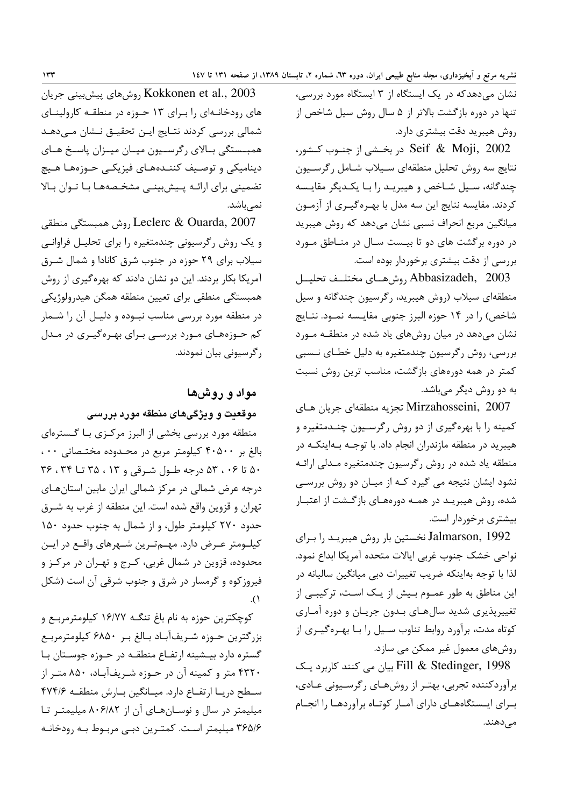نشان میدهدکه در یک ایستگاه از ۳ ایستگاه مورد بررسی، تنها در دوره بازگشت بالاتر از ۵ سال روش سیل شاخص از روش هیبرید دقت بیشتری دارد.

Seif & Moji, 2002 در بخـشی از جنــوب کــشور، نتايج سه روش تحليل منطقهاي سـيلاب شـامل رگرسـيون چندگانه، سـيل شـاخص و هيبريـد را بـا يكـديگر مقايـسه کردند. مقایسه نتایج این سه مدل با بهـرهگیـری از آزمـون میانگین مربع انحراف نسبی نشان میدهد که روش هیبرید در دوره برگشت های دو تا بیـست سـال در منـاطق مـورد بررسی از دقت بیشتری برخوردار بوده است.

Abbasizadeh, 2003, وشهاى مختلــف تحليــل منطقهای سیلاب (روش هیبرید، رگرسیون چندگانه و سیل شاخص) را در ۱۴ حوزه البرز جنوبی مقایـسه نمـود. نتـایج نشان میدهد در میان روشهای یاد شده در منطقـه مـورد بررسی، روش رگرسیون چندمتغیره به دلیل خطـای نــسبی کمتر در همه دورههای بازگشت، مناسب ترین روش نسبت به دو روش دیگر میباشد.

Mirzahosseini, 2007 تجزيه منطقهاي جريان هـاي کمینه را با بهرهگیری از دو روش رگرسـیون چنـدمتغیره و هیبرید در منطقه مازندران انجام داد. با توجـه بـهاینکـه در منطقه یاد شده در روش رگرسیون چندمتغیره مـدلی ارائـه نشود ایشان نتیجه می گیرد کـه از میـان دو روش بررسـی .<br>شده، روش هیبریـد در همـه دورههـای بازگـشت از اعتبـار بیشتری برخوردار است.

Jalmarson, 1992 نخستین بار روش هیبریـد را بـرای نواحي خشک جنوب غربي ايالات متحده آمريکا ابداع نمود. لذا با توجه بهاینکه ضریب تغییرات دبی میانگین سالیانه در این مناطق به طور عمـوم بـیش از یـک اسـت، ترکیبـی از تغییرپذیری شدید سال هـای بـدون جریـان و دوره آمـاری کوتاه مدت، برآورد روابط تناوب سـيل را بـا بهـرهگيـرى از روشهای معمول غیر ممکن می سازد.

Fill & Stedinger, 1998 بيان مي كنند كاربرد يك برآوردکننده تجربی، بهتـر از روشهـای رگرسـيونی عـادی، بـراي ايــستگاههــاي داراي آمــار كوتــاه برآوردهــا را انجــام مے دھند.

Kokkonen et al., 2003 روش های پیش بینی جریان های رودخانهای را برای ۱۳ حوزه در منطقه کارولینای شمالی بررسی کردند نتـایج ایـن تحقیـق نـشان مـی۵هـد همبستگی بالای رگرسمیون میمان میمزان پاسخ هـای دینامیکی و توصیف کننـدههـای فیزیکـی حـوزههـا هـیچ تضمینی برای ارائـه پـیش بینـی مشخـصههـا بـا تـوان بـالا نمے باشد.

Leclerc & Ouarda, 2007, روش همبستگي منطقي و یک روش رگرسیونی چندمتغیره را برای تحلیـل فراوانـی سیلاب برای ۲۹ حوزه در جنوب شرق کانادا و شمال شـرق آمریکا بکار بردند. این دو نشان دادند که بهرهگیری از روش همبستگي منطقي براي تعيين منطقه همگن هيدرولوژيكي در منطقه مورد بررسی مناسب نبـوده و دلیـل آن را شــمار کم حـوزههـای مـورد بررسـی بـرای بهـرهگیـری در مـدل ر گرسیونی بیان نمودند.

## مواد و روشها

## موقعیت و ویژگیهای منطقه مورد بررسی

منطقه مورد بررسی بخشی از البرز مرکـزی بـا گـسترهای بالغ بر ۴۰۵۰۰ کیلومتر مربع در محدوده مختصاتی ۰۰، ۵۰ تا ۰۶، ۵۳ درجه طول شرقی و ۲۳، ۳۵ تا ۳۴، ۳۶ درجه عرض شمالی در مرکز شمالی ایران مابین استانهـای تهران و قزوین واقع شده است. این منطقه از غرب به شـرق حدود ۲۷۰ کیلومتر طول، و از شمال به جنوب حدود ۱۵۰ کیلــومتر عــرض دارد. مهـــمتــرین شــهرهای واقــع در ایــن محدوده، قزوین در شمال غربی، کـرج و تهـران در مرکـز و فیروز کوه و گرمسار در شرق و جنوب شرقی آن است (شکل  $\Lambda$ 

کوچکترین حوزه به نام باغ تنگـه ۱۶/۷۷ کیلومترمربـع و بزرگترین حـوزه شـریفآبـاد بـالغ بـر ۶۸۵۰ کیلومترمربـع گستره دارد بيـشينه ارتفــاع منطقــه در حــوزه جوســتان بــا ۴۳۲۰ متر و کمینه آن در حـوزه شـریفآبـاد، ۸۵۰ متـر از سطح دريـا ارتفـاع دارد. ميـانگين بـارش منطقـه ٢٧۴/۶ میلیمتر در سال و نوسـانهـای آن از ۸۰۶/۸۲ میلیمتـر تـا ۳۶۵/۶ میلیمتر است. کمتـرین دبـی مربـوط بـه رودخانـه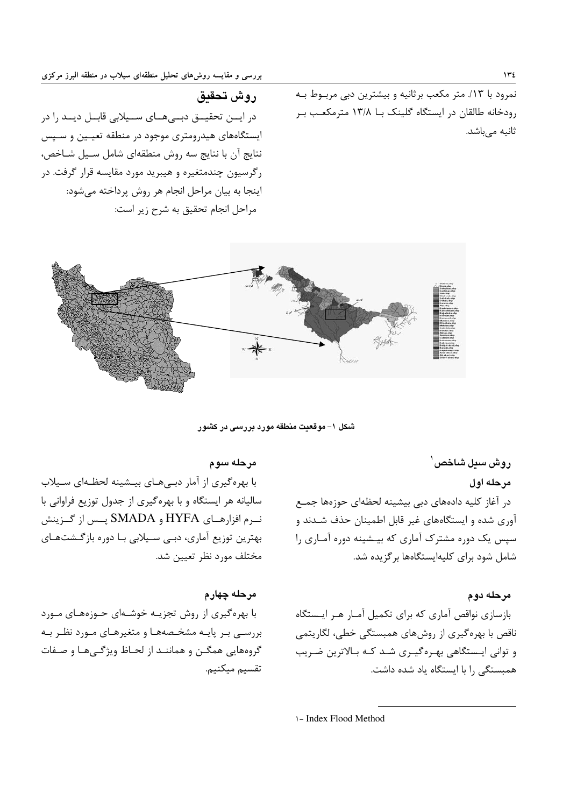نمرود با ١٣/. متر مكعب برثانيه و بيشترين دبي مربـوط بـه رودخانه طالقان در ایستگاه گلینک بـا ۱۳/۸ مترمکعـب بـر ثانیه مے باشد.

روش تحقيق

در ایــن تحقیــق دبــیهــای ســیلابی قابــل دیــد را در ایستگاههای هیدرومتری موجود در منطقه تعیـین و سـپس نتايج آن با نتايج سه روش منطقهاي شامل سـيل شـاخص، رگرسیون چندمتغیره و هیبرید مورد مقایسه قرار گرفت. در اینجا به بیان مراحل انجام هر روش پرداخته میشود: مراحل انجام تحقيق به شرح زير است:



شکل ۱– موقعیت منطقه مورد بررسی در کشور

روش سيل شاخص ٰ مرحله اول در آغاز کلیه دادههای دبی بیشینه لحظهای حوزهها جمـع آوری شده و ایستگاههای غیر قابل اطمینان حذف شـدند و سپس یک دوره مشترک آماری که بیـشینه دوره آمـاری را شامل شود برای کلیهایستگاهها بر گزیده شد.

## مرحله دوم

بازسازی نواقص آماری که برای تکمیل آمـار هـر ایـستگاه ناقص با بهره گیری از روشهای همبستگی خطی، لگاریتمی و توانی ایستگاهی بهـرهگیـری شـد کـه بـالاترین ضـریب همبستگی را با ایستگاه یاد شده داشت.

## مرحله سوم

با بهرهگیری از آمار دبههای بیشینه لحظهای سیلاب سالیانه هر ایستگاه و با بهرهگیری از جدول توزیع فراوانی با نــرم افزارهــاي HYFA و SMADA پــس از گــزينش بهترین توزیع آماری، دبـی سـیلابی بـا دوره بازگـشتهـای مختلف مورد نظر تعیین شد.

## مرحله چهارم

با بهره گیری از روش تجزیـه خوشـهای حـوزههـای مـورد بررسـی بـر پایـه مشخـصههـا و متغیرهـای مـورد نظـر بـه گروههایی همگـن و هماننـد از لحـاظ ویژگـیهـا و صـفات تقسيم ميكنيم.

\- Index Flood Method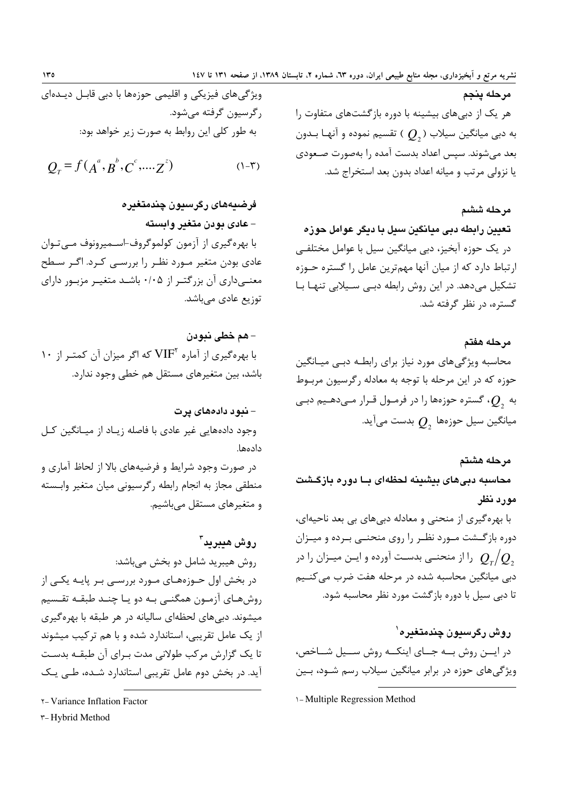مرحله ينجم هر یک از دبیهای بیشینه با دوره بازگشتهای متفاوت را به دبی میانگین سیلاب ( $Q_{_2}$  ) تقسیم نموده و آنهـا بـدون بعد می شوند. سپس اعداد بدست آمده را بهصورت صـعودی يا نزولي مرتب و ميانه اعداد بدون بعد استخراج شد.

مرحله ششم

تعیین رابطه دبی میانگین سیل با دیگر عوامل حوزه در یک حوزه آبخیز، دبی میانگین سیل با عوامل مختلفے ارتباط دارد که از میان آنها مهمترین عامل را گستره حـوزه تشکیل میدهد. در این روش رابطه دبـی سـیلابی تنهـا بـا گستره، در نظر گرفته شد.

مرحله هفتم محاسبه ویژگی های مورد نیاز برای رابطـه دبـے میـانگین حوزه که در این مرحله با توجه به معادله رگرسیون مربـوط به  $O_{\scriptscriptstyle\circ}$ ، گستره حوزهها را در فرمـول قـرار مـىدهـيم دبـى میانگین سیل حوزهها  $Q_{_2}$  بدست میآید.

مرحله هشتم محاسبه دبیهای بیشینه لحظهای بــا دوره بازگـشت مورد نظر

با بهرهگیری از منحنی و معادله دبیهای بی بعد ناحیهای، دوره بازگشت مورد نظر را روی منحنـی بـرده و میـزان را از منحنـی بدسـت آورده و ایــن میــزان را در  $\mathcal{Q}_{_{\tau}}\mathcal{/} \mathcal{Q}_{_{\tau}}$ دبی میانگین محاسبه شده در مرحله هفت ضرب می کنـیم تا دبی سیل با دوره بازگشت مورد نظر محاسبه شود.

روش رگرسيون چندمتغيره` در ایسن روش به جسای اینکسه روش سسیل شساخص، ویژگیهای حوزه در برابر میانگین سیلاب رسم شـود، بـین

\-Multiple Regression Method

$$
Q_{\scriptscriptstyle T} = f(A^a, B^b, C^c, \dots, Z^c) \tag{1-7}
$$

فرضيههای رگرسيون چندمتغيره – عادی بودن متغیر وابسته با بهرهگیری از آزمون کولموگروف-اسمپرونوف میتوان عادی بودن متغیر مـورد نظـر را بررسـی کـرد. اگـر سـطح معنـیداری آن بزرگتـر از ۰/۰۵ باشـد متغیـر مزبـور دارای توزیع عادی مے باشد.

– هم خطي نبودن ۱۰ بهرهگیری از آماره  $\mathrm{VIF}^{\mathrm{r}}$  که اگر میزان آن کمتـر از باشد، بین متغیرهای مستقل هم خطی وجود ندارد.

## – نبود دادههای پرت

وجود دادههایی غیر عادی با فاصله زیـاد از میـانگین کـل دادەھا.

در صورت وجود شرایط و فرضیههای بالا از لحاظ آماری و منطقى مجاز به انجام رابطه ركرسيوني ميان متغير وابسته و متغیرهای مستقل مے باشیم.

- روش هيبريد<sup>۳</sup> روش هيبريد شامل دو بخش مي باشد: در بخش اول حــوزههـاي مــورد بررســي بــر پايــه يكــي از روشهـاي آزمـون همگنـي بـه دو يـا چنـد طبقـه تقـسيم میشوند. دبی های لحظهای سالیانه در هر طبقه با بهرهگیری از یک عامل تقریبی، استاندارد شده و با هم ترکیب میشوند تا یک گزارش مرکب طولانی مدت بـرای آن طبقـه بدسـت آید. در بخش دوم عامل تقریبی استاندارد شـده، طـی یـک
- **Y-Variance Inflation Factor**

r-Hybrid Method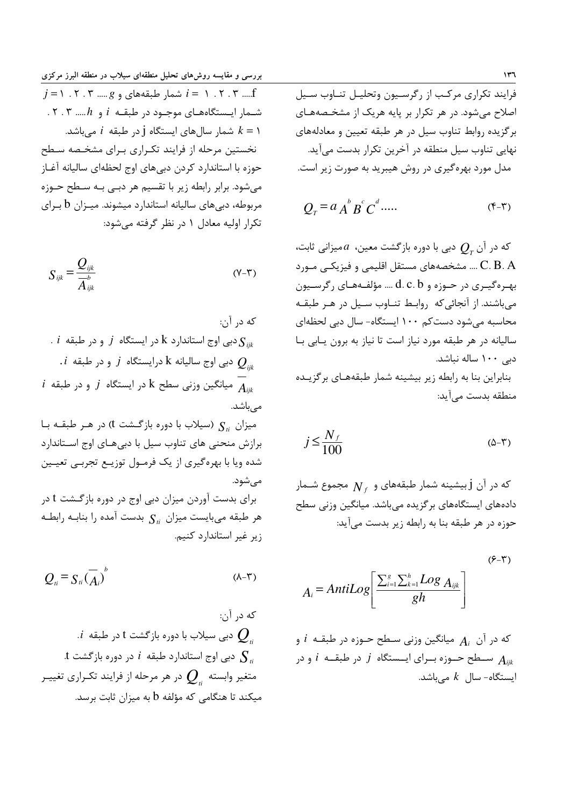فرایند تکراری مرکب از رگرسیون وتحلیـل تنـاوب سـیل اصلاح می شود. در هر تکرار بر پایه هریک از مشخـصههـای برگزیده روابط تناوب سیل در هر طبقه تعیین و معادلههای نهایی تناوب سیل منطقه در آخرین تکرار بدست میآید. مدل مورد بهرهگیری در روش هیبرید به صورت زیر است.

$$
Q_T = a A^b B^c C^d \dots \tag{5-7}
$$

که در آن  $Q_{\scriptscriptstyle \tau}$  دبی با دوره بازگشت معین،  $a$ میزانی ثابت، ... C. B . A .... مشخصههای مستقل اقلیمی و فیزیکـی مـورد بهـرهگیـری در حـوزه و d. c. b .... مؤلفـههـای رگرسـيون میباشند. از آنجائیکه روابط تناوب سیل در هر طبقه محاسبه می شود دست کم ۱۰۰ ایستگاه- سال دبی لحظهای سالیانه در هر طبقه مورد نیاز است تا نیاز به برون یابی با دبی ۱۰۰ ساله نباشد. بنابراین بنا به رابطه زیر بیشینه شمار طبقههـای برگزیـده

$$
j \le \frac{N_f}{100} \tag{0-7}
$$

که در آن j بیشینه شمار طبقههای و  $N_{\,\mathrm{f}}$  مجموع شــمار دادههای ایستگاههای بر گزیده می باشد. میانگین وزنی سطح حوزه در هر طبقه بنا به رابطه زیر بدست میآید:

$$
A_i = Antillog\left[\frac{\sum_{i=1}^{g} \sum_{k=1}^{h} Log A_{ijk}}{gh}\right]
$$
\n
$$
(9-5)
$$

که در آن  $A_i$  میانگین وزنی سـطح حـوزه در طبقـه  $i$  و سـطح حــوزه بــراي ايــستگاه  $j$  در طبقــه  $i$  و در  $A_{iik}$ ایستگاه- سال  $k$ میباشد.

بررسی و مقایسه روش۵ای تحلیل منطقهای سیلاب در منطقه البرز مرکزی  $j = 1, 1, 7, ..., g$  شمار طبقههای و  $g$ ...... ۳. ۲. ۲. ۰۳ شـمار ایـستگاههـای موجـود در طبقـه  $i$  و  $h$ ..... ۳. ۲. شمار سالهای ایستگاه j در طبقه  $i$  میباشد.  $k = 1$ نخستین مرحله از فرایند تکراری بـرای مشخـصه سـطح حوزه با استاندارد کردن دبیهای اوج لحظهای سالیانه آغـاز میشود. برابر رابطه زیر با تقسیم هر دبـی بـه سـطح حـوزه مربوطه، دبیهای سالیانه استاندارد میشوند. میـزان b بـرای تکرار اولیه معادل ۱ در نظر گرفته می شود:

$$
S_{ijk} = \frac{Q_{ijk}}{A_{ijk}}
$$
 (Y-T)

که در آن: .  $i$  دبی اوج استاندارد k در ایستگاه  $j$  و در طبقه  $\mathbf{S}_{ik}$  $i$  دبی اوج سالیانه  ${\rm k}$  درایستگاه  $j$  و در طبقه  $Q_{\scriptscriptstyle in}$  $i$  میانگین وزنی سطح k در ایستگاه  $j$  و در طبقه  $A_{\scriptscriptstyle in}$ مىباشد. میزان S<sub>ti</sub> (سیلاب با دوره بازگشت t) در هـر طبقـه بـا برازش منحنی های تناوب سیل با دبیهای اوج استاندارد شده ویا با بهرهگیری از یک فرمـول توزیـع تجربـی تعیـین مے شود. برای بدست آوردن میزان دبی اوج در دوره بازگشت t در هر طبقه میبایست میزان  $S_{ii}$  بدست آمده را بنابـه رابطـه زیر غیر استاندارد کنیم.

$$
Q_{ii} = S_{ii} (\overline{A}_i)^b
$$
 (A-T)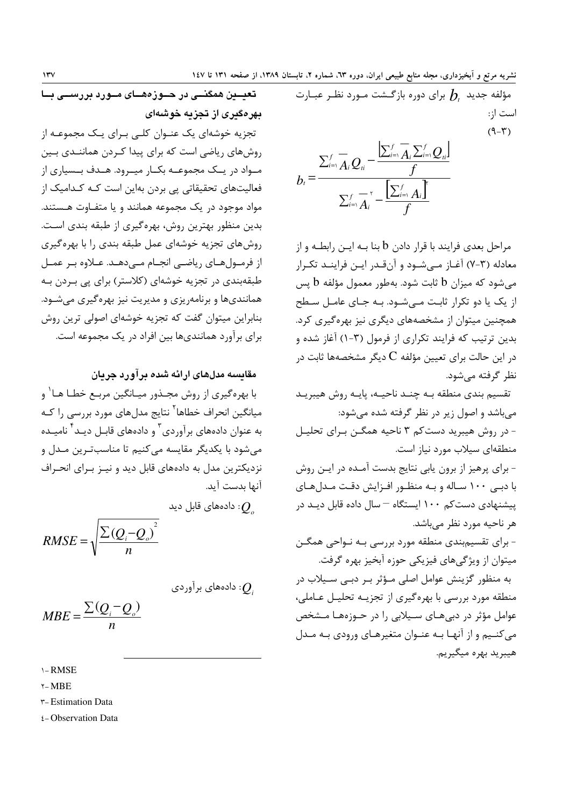تعیــین همگنــی در حــوزههــای مــورد بررســی بــا بهرهگیری از تجزیه خوشهای تجزیه خوشهای یک عنـوان کلـی بـرای یـک مجموعـه از

روشهای ریاضی است که برای پیدا کـردن هماننـدی بـین مـواد در یـک مجموعـه بکـار میـرود. هـدف بـسیاری از فعالیتهای تحقیقاتی پی بردن بهاین است کـه کـدامیک از مواد موجود در یک مجموعه همانند و یا متفـاوت هـستند. بدین منظور بهترین روش، بهره گیری از طبقه بندی است. روش های تجزیه خوشهای عمل طبقه بندی را با بهره گیری از فرمـولهـاي رياضـي انجـام مـيدهـد. عـلاوه بـر عمـل طبقهبندی در تجزیه خوشهای (کلاستر) برای پی بـردن بـه هماننديها و برنامهږيزې و مديريت نيز بهرهگيري مي شـود. بنابراین میتوان گفت که تجزیه خوشهای اصولی ترین روش برای برآورد همانندیها بین افراد در یک مجموعه است.

## مقایسه مدلهای ارائه شده بر آورد جریان

با بھرہ گیری از روش مجــذور میــانگین مربــع خطــا هــا` و میانگین انحراف خطاها<sup>۲</sup> نتایج مدل@ای مورد بررسی را کـه به عنوان دادههای برآوردی<sup>۳</sup> و دادههای قابـل دیـد<sup>۴</sup> نامیـده مے شود یا پکدیگر مقایسه مے کنیم تا مناسبت ین مـدل و نزدیکترین مدل به دادههای قابل دید و نیـز بـرای انحـراف آنها بدست آيد.

ن دادەھاي قابل ديد
$$
Q_{_o}
$$

$$
RMSE = \sqrt{\frac{\sum (Q_i - Q_o)^2}{n}}
$$

دادەھای براوردی: 
$$
\mathcal{Q}_i
$$

$$
MBE = \frac{\sum (Q_i - Q_o)}{n}
$$

 $\lambda - RMSE$ 

 $\gamma$ -MBE

**r-Estimation Data** 

ε-Observation Data

مؤلفه جدید  $h$  برای دوره بازگـشت مـورد نظـر عبـارت است از:  $(9 - \mathcal{r})$ 

$$
b_i = \frac{\sum_{i=1}^f \overline{A}_i Q_{ii} - \frac{|\sum_{i=1}^f A_i \sum_{i=1}^f Q_{ii}|}{f}}{\sum_{i=1}^f \overline{A}_i - \frac{|\sum_{i=1}^f A_i|}{f}}
$$

مراحل بعدی فرایند با قرار دادن b بنا بـه ایــن رابطــه و از معادله (۳-۷) آغـاز مـی شـود و آن قـدر ایـن فراینـد تکـرار می شود که میزان b ثابت شود. بهطور معمول مؤلفه b پس از یک یا دو تکرار ثابت مے شـود. بـه جـای عامـل سـطح همچنین میتوان از مشخصههای دیگری نیز بهرهگیری کرد. بدین ترتیب که فرایند تکراری از فرمول (۳-۱) آغاز شده و در این حالت برای تعیین مؤلفه  $\rm C$  دیگر مشخصهها ثابت در نظر گرفته می شود.

تقسیم بندی منطقه بـه چنـد ناحیـه، پایـه روش هیبریـد می باشد و اصول زیر در نظر گرفته شده می شود: - در روش هیبرید دست کم ۳ ناحیه همگـن بـرای تحلیـل منطقهای سیلاب مورد نیاز است. - برای پرهیز از برون پابی نتایج بدست آمـده در ایـن روش با دبی ۱۰۰ ساله و بـه منظـور افـزایش دقـت مـدلهـای پیشنهادی دست کم ۱۰۰ ایستگاه – سال داده قابل دیـد در هر ناحیه مورد نظر مے باشد. - برای تقسیمبندی منطقه مورد بررسی بـه نـواحی همگـن میتوان از ویژگیهای فیزیکی حوزه آبخیز بهره گرفت. به منظور گزینش عوامل اصلی مـؤثر بـر دبـی سـیلاب در منطقه مورد بررسی با بهره گیری از تجزیــه تحلیــل عــاملی، عوامل مؤثر در دبیهای سیلابی را در حـوزههـا مـشخص مي کنيږم و از آنهـا بـه عنـوان متغيرهـاي ورودي بـه مـدل

هيبريد بهره ميگيريم.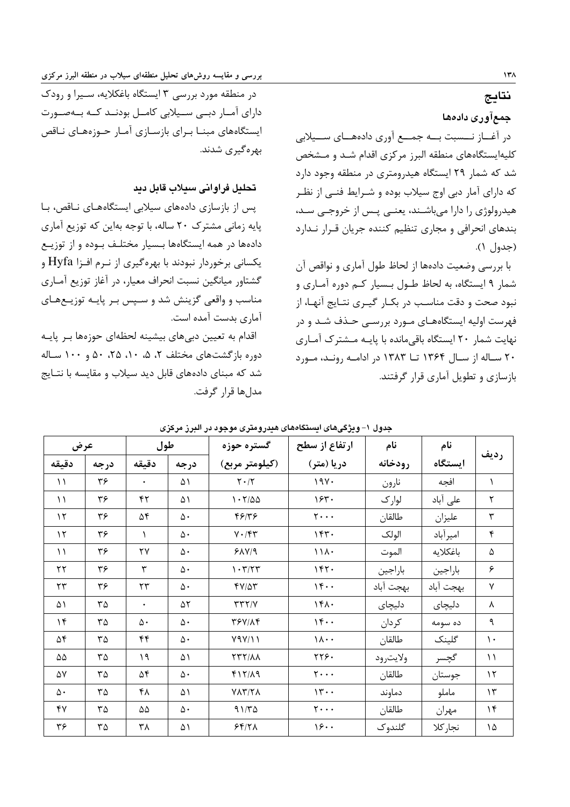بررسی و مقایسه روش۵ای تحلیل منطقهای سیلاب در منطقه البرز مرکزی

در منطقه مورد بررسی ۳ ایستگاه باغکلایه، سـیرا و رودک دارای آمبار دینی سنیلابی کامبل بودنند کنه بنهصنورت ایستگاههای مبنــا بــرای بازســازی آمــار حــوزههــای نــاقص بھرہ گیری شدند.

## تحليل فراواني سيلاب قابل ديد

پس از بازسازی دادههای سیلابی ایستگاههای ناقص، با پایه زمانی مشترک ۲۰ ساله، با توجه بهاین که توزیع آماری دادهها در همه ایستگاهها بـسیار مختلـف بـوده و از توزیـع یکسانی برخوردار نبودند با بهرهگیری از نـرم افـزا Hyfa و گشتاور میانگین نسبت انحراف معیار، در آغاز توزیع آمـاری مناسب و واقعی گزینش شد و سـیس بـر پایـه توزیـعهـای آماری بدست آمده است.

اقدام به تعیین دبیهای بیشینه لحظهای حوزهها بر پایـه دوره بازگشتهای مختلف ۲، ۵، ۱۰، ۲۵، ۵۰ و ۱۰۰ ساله شد که مبنای دادههای قابل دید سیلاب و مقایسه با نتـایج مدل ها قرار گرفت. نتايج

## جمعآورى دادهها

در آغـــاز نــــسبت بــــه جمــــع آوري دادههــــاي ســـيلابي کلیهایستگاههای منطقه البرز مرکزی اقدام شـد و مـشخص شد که شمار ۲۹ ایستگاه هیدرومتری در منطقه وجود دارد که دارای آمار دبی اوج سیلاب بوده و شـرایط فنـی از نظـر هیدرولوژی را دارا میباشـند، یعنـی پـس از خروجـی سـد، بندهای انحرافی و مجاری تنظیم کننده جریان قـرار نـدارد  $( \wedge )$  (حدول)

با بررسی وضعیت دادهها از لحاظ طول آماری و نواقص آن شمار ۹ ایستگاه، به لحاظ طـول بـسیار کـم دوره آمـاری و نبود صحت و دقت مناسب در بکـار گیـری نتـایج آنهـا، از فهرست اولیه ایستگاههـای مـورد بررسـی حـذف شـد و در نهایت شمار ۲۰ ایستگاه باقیمانده با پایـه مـشترک آمـاری ۲۰ سـاله از سـال ۱۳۶۴ تـا ۱۳۸۳ در ادامـه رونـد، مـورد بازسازی و تطویل آماری قرار گرفتند.

|                        |                             |           |      | وپرچیسی ایستدمسی سیدروسری سوجود در انجرز مرحزی |                                | جدوں ،    |           |                      |
|------------------------|-----------------------------|-----------|------|------------------------------------------------|--------------------------------|-----------|-----------|----------------------|
| عرض                    |                             | طول       |      | گستره حوزه                                     | ارتفاع از سطح                  | نام       | نام       |                      |
| دقيقه                  | درجه                        | دقيقه     | درجه | (کیلومتر مربع)                                 | دریا (متر)                     | رودخانه   | ايستگاه   | رديف                 |
| $\setminus$            | ٣۶                          | $\bullet$ | ۵۱   | $\mathbf{Y}\boldsymbol{\cdot}/\mathbf{Y}$      | 19Y.                           | نارون     | افجه      | $\lambda$            |
| $\setminus$            | ٣۶                          | ۴۲        | ۵۱   | 1.7700                                         | 154.                           | لوارک     | على آباد  | $\mathbf{\breve{Y}}$ |
| $\gamma$               | ٣۶                          | ۵۴        | ۵۰   | 48/48                                          | $\mathbf{y} \cdot \cdot \cdot$ | طالقان    | عليزان    | $\mathbf{\breve{r}}$ |
| $\gamma$               | ٣۶                          | \         | ۵۰   | $Y \cdot / \mathfrak{F} \mathfrak{r}$          | 157.                           | الولک     | اميرآباد  | ۴                    |
| $\setminus$            | ۳۶                          | ٢٧        | ۵۰   | PAY/9                                          | 111.                           | الموت     | باغكلايه  | ۵                    |
| $\mathsf{Y}\mathsf{Y}$ | ٣۶                          | ٣         | ۵۰   | $\mathcal{N} \cdot \mathcal{K}/\mathcal{K}$    | 157.                           | باراجين   | باراجين   | ۶                    |
| $\mathbf{r}$           | ۳۶                          | ۲۳        | ۵۰   | $fV/\Delta r$                                  | 15.                            | بهجت آباد | بهجت آباد | γ                    |
| ۵۱                     | ٣۵                          | $\bullet$ | ۵۲   | $Y\ Y\ Y\ Y$                                   | 151.                           | دلیچای    | دليچای    | ٨                    |
| $\mathcal{N}$          | ٣۵                          | ۵۰        | ۵۰   | <b>٣۶٧/٨۴</b>                                  | 15.                            | كردان     | ده سومه   | ٩                    |
| ۵۴                     | ٣۵                          | ۴۴        | ۵٠   | Y9Y/11                                         | $\lambda \cdot \cdot$          | طالقان    | گلینک     | $\mathcal{N}$        |
| $\Delta\Delta$         | $\mathbf{r}\mathbf{r}$      | ۱۹        | ۵۱   | XXY/XX                                         | YY9.                           | ولايترود  | گچسر      | $\setminus$          |
| ۵۷                     | ٣۵                          | ۵۴        | ۵۰   | $f17/\lambda9$                                 | $\mathbf{y} \cdot \cdot \cdot$ | طالقان    | جوستان    | $\mathcal{N}$        |
| ۵٠                     | ٣۵                          | ۴۸        | ۵۱   | $Y\Lambda Y/Y\Lambda$                          | 15.                            | دماوند    | ماملو     | $\gamma$             |
| ۴٧                     | $\mathbf{r}\mathbf{\Delta}$ | ۵۵        | ۵۰   | $91/T\Delta$                                   | $y \cdot \cdot \cdot$          | طالقان    | مهران     | $\mathcal{M}$        |
| ٣۶                     | ٣۵                          | ٣٨        | ۵۱   | 58/7                                           | 18.1                           | گلندوک    | نجار كلا  | ۱۵                   |

حدول ۱–ویژگ های ایستگاههای هید. ومتری موجود در الب ز مرکزی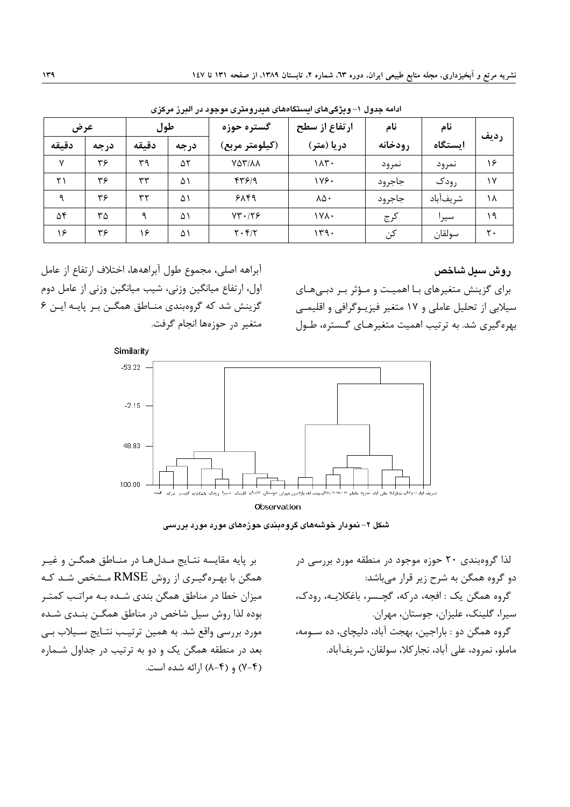| عرض          |      |       | طول<br>گستره حوزه |                                          | ارتفاع از سطح | نام     | نام      |      |
|--------------|------|-------|-------------------|------------------------------------------|---------------|---------|----------|------|
| دقيقه        | درجه | دقىقە | درجه              | (کیلومتر مربع)                           | دریا (متر)    | رودخانه | استگاه   | رديف |
| $\mathsf{v}$ | ۳۶   | ۳۹    | ۵۲                | VAT/AA                                   | ۱۸۳۰          | نمرود   | نمرود    | ۱۶   |
| ۲۱           | ۳۶   | ٣٣    | ۵۱                | ۴۳۶۱۹                                    | 178.          | جاجرود  | رودک     | ۱۷   |
| ٩            | ۳۶   | ۳۲    | ۵۱                | ۶۸۴۹                                     | ۸۵۰           | جاجرود  | شريفآباد | ۱۸   |
| ۵۴           | ۳۵   | ٩     | ۵۱                | $YY \cdot 1Y9$                           | ۱۷۸۰          | كرج     | سيرا     | ۱۹   |
| ۱۶           | ۳۶   | ۱۶    | ۵۱                | $\mathbf{Y} \cdot \mathbf{Y}/\mathbf{Y}$ | ۱۳۹۰          | کن      | سولقان   | ٢٠   |

ادامه جدول ١- ويژگىهاى ايستگاههاى هيدرومترى موجود در البرز مركزى

#### روش سىل شاخص

برای گزینش متغیرهای با اهمیت و مؤثر بر دبیهای سیلابی از تحلیل عاملی و ۱۷ متغیر فیزیـوگرافی و اقلیمـی بهره گيري شد. به ترتيب اهميت متغيرهـاي گـستره، طـول

آبراهه اصلي، مجموع طول آبراههها، اختلاف ارتفاع از عامل اول، ارتفاع میانگین وزنی، شیب میانگین وزنی از عامل دوم گزینش شد که گروهبندی منـاطق همگـن بـر پایـه ایـن ۶ متغیر در حوزهها انجام گرفت.



شکل ۲– نمودار خوشههای گروهبندی حوزههای مورد مورد بررسی

لذا گروهبندی ۲۰ حوزه موجود در منطقه مورد بررسی در دو گروه همگن به شرح زیر قرار میباشد: گروه همگن یک : افجه، درکه، گچـسر، باغکلایــه، رودک، سيرا، گلينک، عليزان، جوستان، مهران. گروه همگن دو : باراجین، بهجت آباد، دلیچای، ده سـومه، ماملو، نمرود، على آباد، نجار كلا، سولقان، شريفآباد.

بر پایه مقایسه نتـایج مـدلهـا در منـاطق همگـن و غیـر همگن با بهـرهگیـری از روش RMSE مـشخص شـد کـه میزان خطا در مناطق همگن بندی شـده بـه مراتـب کمتـر بوده لذا روش سيل شاخص در مناطق همگــن بنــدي شــده مورد بررسی واقع شد. به همین ترتیب نتـایج سـیلاب بـی بعد در منطقه همگن یک و دو به ترتیب در جداول شـماره (۲-۲) و (۴-۸) ارائه شده است.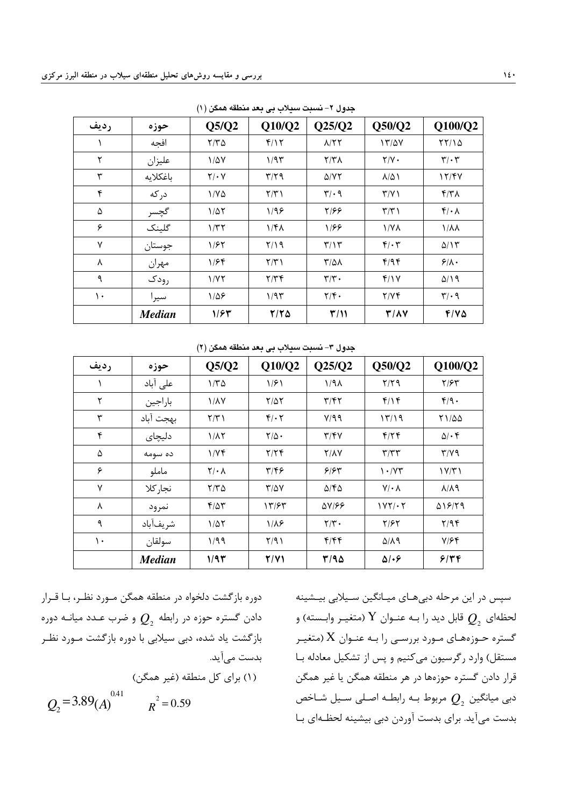|      |               | $\sqrt{2}$         | .                       |                               |                     |                                 |
|------|---------------|--------------------|-------------------------|-------------------------------|---------------------|---------------------------------|
| رديف | حوزه          | Q5/Q2              | Q10/Q2                  | Q25/Q2                        | Q50/Q2              | Q100/Q2                         |
|      | افجه          | $Y/Y\Delta$        | f/Y                     | A/YY                          | 17/2V               | YY/10                           |
| ٢    | عليزان        | $1/\Delta V$       | 1/95                    | Y/Y                           | $Y/Y$ .             | $\mathbf{r}/\cdot\mathbf{r}$    |
| ٣    | باغكلايه      | $Y/\cdot Y$        | $\mathbf{r}/\mathbf{r}$ | $\Delta$ /YY                  | $\lambda/\Delta$    | 17/FV                           |
| ۴    | در که         | $1/Y\Delta$        | $\Upsilon/\Upsilon$     | $\mathbf{r}/\cdot \mathbf{q}$ | $\Upsilon/\Upsilon$ | $\mathcal{N}(\mathcal{K})$      |
| ۵    | گچسر          | $1/\Delta\Upsilon$ | 1/99                    | Y/FF                          | $\Upsilon/\Upsilon$ | $f/\cdot \Lambda$               |
| ۶    | گلینک         | 1/TT               | 1/F <sub>A</sub>        | 1/۶۶                          | $1/Y\lambda$        | $1/\lambda\lambda$              |
| ٧    | جوستان        | 1/57               | Y/Y                     | $\mathbf{r}/\mathbf{v}$       | $f/\cdot 7$         | $\Delta/\Upsilon$               |
| ٨    | مهران         | 1/56               | $\Upsilon/\Upsilon$     | $\frac{1}{2}$                 | f/9f                | 9/1.                            |
| ٩    | رودک          | 1/YY               | Y/YF                    | $\mathbf{r}/\mathbf{r}$ .     | f/Y                 | $\Delta/\Lambda$ 9              |
| ١.   | سيرا          | $1/\Delta$ ۶       | 1/95                    | $\mathbf{Y}/\mathbf{F}$ .     | Y/Yf                | $\mathcal{F}/\cdot \mathcal{A}$ |
|      | <b>Median</b> | 1/۶۳               | $Y/Y$ $\Delta$          | T/11                          | $T/\Lambda V$       | $F/Y$ $\Delta$                  |

جدول ۲– نسبت سیلاب بی بعد منطقه همگن (۱)

جدول ۳– نسبت سیلاب بی بعد منطقه همگن (۲)

| رديف         | حوزه          | Q5/Q2             | Q10/Q2                  | Q25/Q2                    | Q50/Q2                          | Q100/Q2             |
|--------------|---------------|-------------------|-------------------------|---------------------------|---------------------------------|---------------------|
|              | على آباد      | $1/\tau \Delta$   | 1/51                    | $1/9\lambda$              | $Y/Y$ q                         | $Y/\mathcal{F}Y$    |
| ٢            | باراجين       | <b>1/1V</b>       | ۲/۵۲                    | $\mathbf{y}/\mathbf{f}$   | $f/\gamma f$                    | f/9.                |
| ٣            | بهجت آباد     | Y/Y               | $f/\cdot 7$             | Y/99                      | 17/19                           | 71/00               |
| ۴            | دليچای        | $1/\lambda$ ٢     | $Y/\Delta$ .            | $\mathbf{y}/\mathbf{y}$   | $f/\gamma f$                    | $\Delta/\cdot$ ۴    |
| ۵            | ده سومه       | 1/Yf              | Y/YF                    | $Y/\lambda Y$             | $\mathbf{r}/\mathbf{r}$         | $Y/Y$ ۹             |
| ۶            | ماملو         | $Y/\cdot \Lambda$ | $\mathbf{y}/\mathbf{k}$ | 5/54                      | $\mathcal{N} \cdot \mathcal{N}$ | $1 \vee / \vee 1$   |
| $\mathsf{v}$ | نجار كلا      | $Y/Y$ $\Delta$    | $\frac{1}{2}$           | $\Delta$ /۴ $\Delta$      | $V/\cdot \Lambda$               | $\lambda/\lambda$ ٩ |
| ٨            | نمرود         | $f/\Delta \tau$   | ۱۳/۶۳                   | AV188                     | $1YY/\cdot Y$                   | A18/79              |
| ٩            | شريفآباد      | $1/\Delta Y$      | $1/\lambda$ ۶           | $\mathbf{Y}/\mathbf{Y}$ . | ۲/۶۲                            | Y/9                 |
| ۱۰           | سولقان        | ۱/۹۹              | Y/91                    | f/ff                      | $\Delta/\lambda$ 9              | $Y/\mathcal{F}$     |
|              | <b>Median</b> | 1/97              | Y/Y                     | T/90                      | $\Delta$ 1.8                    | 9/79                |

ده، ه باز گشت دلخواه د. منطقه همگن مـورد نظـر، بـا قـرار  $Q_2$  دادن گستره حوزه در رابطه  $\,Q_2^{}\,$  و ضرب عـدد میانــه دوره با: گشت باد شده، دیر سیلایی با دوره با: گشت میورد نظ بدست مے آید. (۱) دای کل منطقه (غیر همگن)  $R^2 = 0.59$  $Q_2 = 3.89(A)^{0.41}$   $R^2 =$ 

سپس در این مرحله دیرهای میبانگین سیپلایی پیشینه لحظهای  $\,Q_2^{}\,$  قابل دید را بـه عنـوان  $\,{\rm Y}$  (متغیـر وابـسته) و گستره حـوزههـای مـورد بررسـی را بـه عنـوان  $\rm X$  (متغیـر مستقل) وارد رگ*یسون می کنی*م و بس از تشکیل معادله بیا قال دادن گستاه جوزوها در هر منطقه همگن با غبر همگن دبی میانگین  $\,\varrho_{_2}\,$  مربوط بـه رابطـه اصـلی سـیل شـاخص بدست مر آید. برای بدست آوردن دبی بیشینه لحظـهای بـا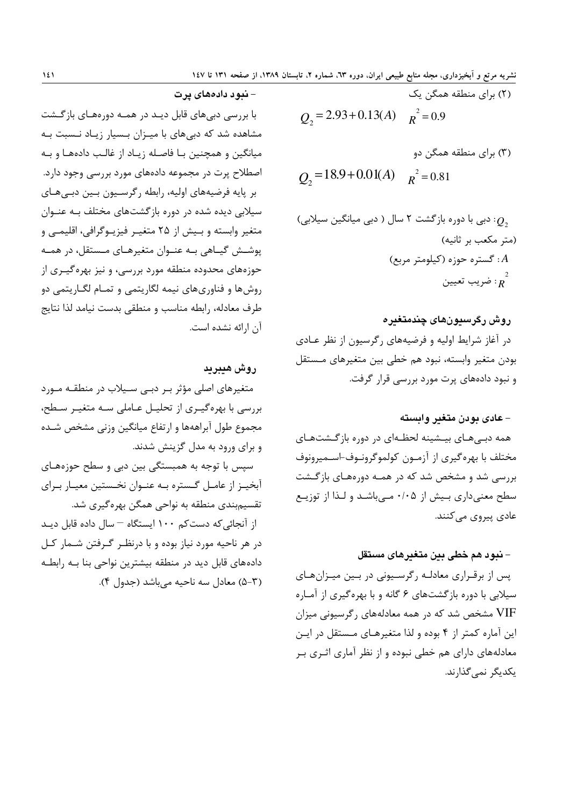7) برای منطقه همگن یک  

$$
Q_2 = 2.93 + 0.13(A) \qquad R^2 = 0.9
$$
  

$$
R^2 = 0.9
$$

$$
Q_2 = 18.9 + 0.01(A)
$$
  $R^2 = 0.81$ 

: دبی با دوره بازگشت ۲ سال ( دبی میانگین سیلابی)  
(متر مکعب بر ثانیه)  
4: گستره حوزه (کیلومتر مربع)  

$$
\frac{2}{R}
$$
: ضریب تعیین

### روش رگرستونهای چندمتغیره

در آغاز شرایط اولیه و فرضیههای رگرسیون از نظر عـادی بودن متغير وابسته، نبود هم خطى بين متغيرهاى مـستقل و نبود دادههای پرت مورد بررسی قرار گرفت.

#### – عادی یودن متغیر وابسته

همه دبی هـای بیـشینه لحظـهای در دوره بازگـشتهـای مختلف با بهره گیری از آزمـون کولموگرونـوف-اسـمیرونوف بررسی شد و مشخص شد که در همـه دورههـای بازگـشت سطح معنیداری بیش از ۰/۰۵ مـیباشـد و لـذا از توزیـع عادی پیروی مے کنند.

#### – نبود هم خطی بین متغیرهای مستقل

پس از برقراری معادلـه رگرسـیونی در بـین میـزانهـای سیلابی با دوره بازگشتهای ۶ گانه و با بهرهگیری از آمـاره VIF مشخص شد که در همه معادلههای رگرسیونی میزان این آماره کمتر از ۴ بوده و لذا متغیرهـای مـستقل در ایـن معادلههای دارای هم خطی نبوده و از نظر آماری اثـری بـر یکدیگر نمی گذارند.

– نيو د دادههاي پر ت

با بررسی دبیهای قابل دیـد در همـه دورههـای بازگـشت مشاهده شد که دبیهای با میـزان بـسیار زیـاد نـسبت بـه میانگین و همچنین بـا فاصـله زیـاد از غالـب دادههـا و بـه اصطلاح پرت در مجموعه دادههای مورد بررسی وجود دارد. بر پایه فرضیههای اولیه، رابطه رگرسـیون بـین دبـیهـای سیلابی دیده شده در دوره بازگشتهای مختلف بـه عنـوان متغیر وابسته و بـیش از ۲۵ متغیـر فیزیـوگرافی، اقلیمـی و یوشـش گیـاهی بـه عنـوان متغیرهـای مـستقل، در همـه .<br>حوزههای محدوده منطقه مورد بررسی، و نیز بهرهگیـری از روش ها و فناوري هاي نيمه لگاريتمي و تمــام لڳــاريتمي دو طرف معادله، رابطه مناسب و منطقی بدست نیامد لذا نتایج آن ارائه نشده است.

#### روش هيبريد

متغیرهای اصلی مؤثر بـر دبـی سـیلاب در منطقـه مـورد بررسی با بهرهگیری از تحلیـل عـاملی سـه متغیـر سـطح، مجموع طول آبراههها و ارتفاع ميانگين وزني مشخص شـده و برای ورود به مدل گزینش شدند.

سپس با توجه به همبستگی بین دبی و سطح حوزههـای آبخیـز از عامـل گـستره بـه عنـوان نخـستین معیـار بـرای تقسیم بندی منطقه به نواحی همگن بهرهگیری شد. از آنجائی که دست کم ۱۰۰ ایستگاه – سال داده قابل دیـد در هر ناحیه مورد نیاز بوده و با درنظـر گـرفتن شـمار کـل دادههای قابل دید در منطقه بیشترین نواحی بنا بـه رابطـه (۳–۵) معادل سه ناحیه می باشد (جدول ۴).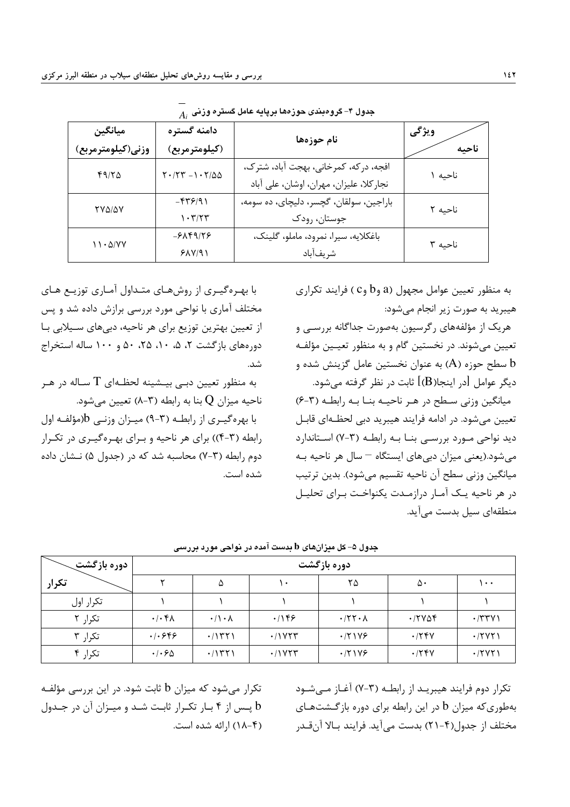با بهـره گیـری از روشهـای متـداول آمـاری توزیـع هـای

مختلف آماری با نواحی مورد بررسی برازش داده شد و پس

از تعیین بهترین توزیع برای هر ناحیه، دبیهای سـیلابی بـا

دورههای بازگشت ۲، ۵، ۱۰، ۲۵، ۵۰ و ۱۰۰ ساله استخراج

به منظور تعیین دبے بیـشینه لحظـهای  $\mathrm{T}$  سـاله در هـر

با بهره گیری از رابطـه (۳-۹) میـزان وزنـی b(مؤلفـه اول

رابطه (۳-۴)) برای هر ناحیه و بـرای بهـرهگیـری در تکـرار

دوم رابطه (۳-۷) محاسبه شد که در (حدول ۵) نـشان داده

ناحیه میزان Q بنا به رابطه (۳-۸) تعیین میشود.

| ميانگين           | دامنه گستره                                                                    | نام حوزهها                              | ويژگي   |  |
|-------------------|--------------------------------------------------------------------------------|-----------------------------------------|---------|--|
| وزني(كيلومترمربع) | (كيلومترمربع)                                                                  |                                         | ناحىه   |  |
| 49/80             | $\Upsilon \cdot / \Upsilon \Upsilon - \Upsilon \cdot \Upsilon / \Delta \Delta$ | افجه، دركه، كمرخاني، بهجت آباد، شترك،   | ناحىه ۱ |  |
|                   |                                                                                | نجاركلا، عليزان، مهران، اوشان، على آباد |         |  |
| YVAIAV            | $-$ ۴۳۶/۹۱                                                                     | باراجين، سولقان، گچسر، دليچای، ده سومه، | ناحيه ٢ |  |
|                   | $\mathcal{N} \cdot \mathcal{K}/\mathcal{K}$                                    | جوستان، رودک                            |         |  |
| 11.0/YY           | $-8\lambda$ ۴۹/۲۶                                                              | باغكلايه، سيرا، نمرود، ماملو، گلينک،    | ناحيه ٣ |  |
|                   | 51Y/91                                                                         | شريفآباد                                |         |  |

شد.

شده است.

 $A_+$  جدول ۴– گروهبندی حوزهها برپایه عامل گستره وزنی

به منظور تعیین عوامل مجهول (a وb و C ) فرایند تکراری هیبرید به صورت زیر انجام می شود:

هریک از مؤلفههای رگرسیون بهصورت جداگانه بررســی و تعیین می شوند. در نخستین گام و به منظور تعیـین مؤلفـه ا سطح حوزه (A) به عنوان نخستین عامل گزینش شده و  $\mathrm{b}$ دیگر عوامل [در اینجا $(B)$ ] ثابت در نظر گرفته می شود.

میانگین وزنی سطح در هر ناحیـه بنـا بـه رابطـه (۳-۶) تعیین می شود. در ادامه فرایند هیبرید دبی لحظـهای قابـل دید نواحی مورد بررسے بنا بـه رابطـه (۳-۷) اسـتاندارد می شود.(یعنی میزان دبی های ایستگاه – سال هر ناحیه بـه میانگین وزنی سطح آن ناحیه تقسیم میشود). بدین ترتیب در هر ناحیه یک آمار درازمدت یکنواخت بـرای تحلیـل منطقهای سیل بدست می آید.

| دوره بازگشت |                             | دوره بازگشت          |               |                              |                                          |               |  |  |
|-------------|-----------------------------|----------------------|---------------|------------------------------|------------------------------------------|---------------|--|--|
| تكرار       |                             | ۵                    | ۱۰            | ۲۵                           | ۵۰                                       | $\cdots$      |  |  |
| تكرار اول   |                             |                      |               |                              |                                          |               |  |  |
| تکرار ۲     | $\cdot/\cdot$ ۴۸            | $\cdot/\cdot \wedge$ | .199          | $\cdot$ /۲۲ $\cdot$ $\wedge$ | $\cdot$ $\upgamma\vee\downarrow\upgamma$ | $\cdot$ /۳۳۷۱ |  |  |
| تكرار ٣     | .1.899                      | .71571               | $\cdot$ /1755 | .77199                       | .778V                                    | $\cdot$ /۲۷۲۱ |  |  |
| تكرار ۴     | $\cdot$ / $\cdot$ 6 $\circ$ | .71571               | .71YYY        | .771Y                        | .778V                                    | $\cdot$ /۲۷۲۱ |  |  |

جدول ۵– کل میزانهای b بدست آمده در نواحی مورد بررسی

تکرار دوم فرایند هیبریـد از رابطـه (۳-۷) آغـاز مــی شــود بهطوری که میزان b در این رابطه برای دوره بازگشتهای مختلف از جدول(۴–۲۱) بدست مي آيد. فرايند بـالا آن قــدر

تکرار می شود که میزان b ثابت شود. در این بررسی مؤلفـه یس از ۴ بار تکـرار ثابـت شـد و میـزان آن در جـدول  $\mathbf b$ (۱۸-۴) ارائه شده است.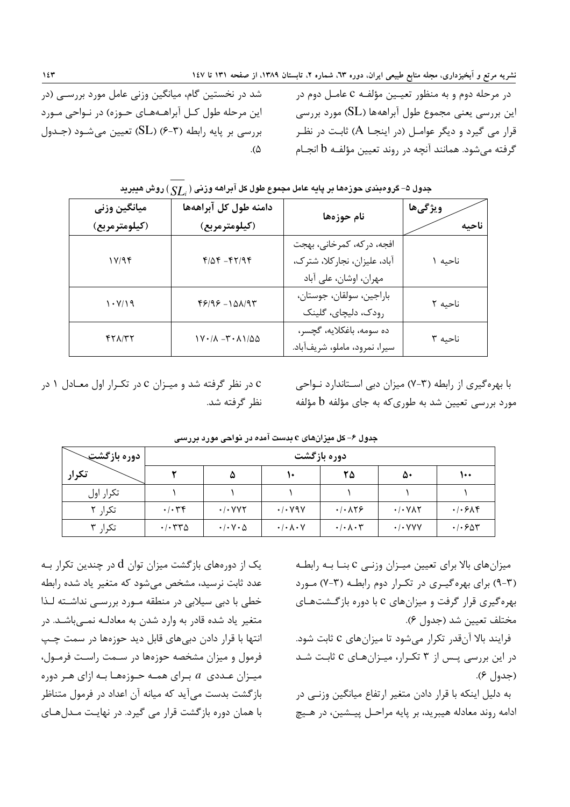شد در نخستین گام، میانگین وزنی عامل مورد بررسـی (در این مرحله طول کـل آبراهـههـای حـوزه) در نـواحی مـورد بررسي بر پايه رابطه (۳-۶) (SL) تعيين مي شـود (جـدول  $\Lambda$ 

در مرحله دوم و به منظور تعیـین مؤلفـه C عامـل دوم در این بررسی یعنی مجموع طول آبراههها (SL) مورد بررسی قرار می گیرد و دیگر عوامـل (در اینجـا A) ثابـت در نظـر گرفته میشود. همانند آنچه در روند تعیین مؤلفـه b انجـام

|                                     |                                                        | .                                                                                   |                  |
|-------------------------------------|--------------------------------------------------------|-------------------------------------------------------------------------------------|------------------|
| ميانگين وزني<br>(کیلومترمربع)       | دامنه طول کل آبراههها<br>(كيلومترمربع)                 | نام حوزهها                                                                          | ويژگىها<br>ناحىه |
| 1Y/9F                               | $f/\Delta f - f f / q f$                               | افجه، دركه، كمرخاني، بهجت<br>آباد، علیزان، نجارکلا، شترک،<br>مهران، اوشان، على آباد | ناحیه ۱          |
| 1.111                               | $49/99 - 101/97$                                       | باراجين، سولقان، جوستان،<br>رودک، دلیچای، گلینک                                     | ناحيه ٢          |
| $f\uparrow\lambda/\uparrow\uparrow$ | $1V \cdot / \Lambda - T \cdot \Lambda / \Delta \Delta$ | ده سومه، باغکلايه، گچسر،<br>سيرا، نمرود، ماملو، شريفآباد.                           | ناحيه ٣          |

حدول ۵– گروه بخدی چوز مها بر بابه عامل محموع طول کل آبراهه وزنبی ( \_CT ) روش هیپرید

c در نظر گرفته شد و میـزان c در تکـرار اول معـادل ۱ در نظر گرفته شد. با بهرهگیری از رابطه (۳-۷) میزان دبی استاندارد نواحی مورد بررسی تعیین شد به طوری *که* به جای مؤلفه b مؤلفه

| <b>ا دوره بازگشت &gt;</b> |                                                    |                                              |                                 | دوره بازگشت                                 |                                          |                                                     |
|---------------------------|----------------------------------------------------|----------------------------------------------|---------------------------------|---------------------------------------------|------------------------------------------|-----------------------------------------------------|
| تكرار                     |                                                    | ۵                                            | ₩                               | ۲۵                                          | ۵۰                                       | ۱۰۰                                                 |
| تكرار اول                 |                                                    |                                              |                                 |                                             |                                          |                                                     |
| تكرار ٢                   | $\cdot/\cdot$ ۳۴                                   | $\cdot$ / $\cdot$ $\vee$ $\vee$ $\vee$       | $\cdot$ / $\cdot$ Y9Y           | $\cdot/\cdot$ $\wedge$ $\uparrow$ $\varphi$ | $\cdot$ / $\cdot$ $\vee$ $\wedge$ $\vee$ | $.$ $\cdot$ $\cdot$ $\cdot$ $\cdot$ $\cdot$ $\cdot$ |
| تكرار ۳                   | $\cdot$ / $\cdot$ $\uparrow$ $\uparrow$ $\uparrow$ | $\cdot$ / $\cdot$ $\vee$ $\cdot$ $\triangle$ | $\cdot/\cdot \wedge \cdot \vee$ | $\cdot/\cdot \wedge \cdot \curlyvee$        | $\cdot$ / $\cdot$ YYY                    | $\cdot$ / $\cdot$ $\epsilon$ $\Delta \tau$          |

حدول ۶– کل میزانهای c بدست آمده در نواحی مورد بررسی

یک از دورههای بازگشت میزان توان d در چندین تکرار بـه عدد ثابت نرسید، مشخص می شود که متغیر یاد شده رابطه خطی با دبی سیلابی در منطقه مـورد بررسـی نداشـته لـذا متغیر یاد شده قادر به وارد شدن به معادلـه نمـیباشـد. در انتها با قرار دادن دبیهای قابل دید حوزهها در سمت چپ فرمول و میزان مشخصه حوزهها در سـمت راسـت فرمـول، میـزان عـددی  $a$  بـرای همـه حـوزههـا بـه ازای هـر دوره بازگشت بدست می آید که میانه آن اعداد در فرمول متناظر با همان دوره بازگشت قرار می گیرد. در نهایت مـدلهـای

میزان های بالا برای تعیین میـزان وزنـی C بنـا بـه رابطـه (۳-۹) برای بهرهگیری در تکرار دوم رابطه (۳-۷) مورد بهرهگیری قرار گرفت و میزانهای C با دوره بازگشتهای مختلف تعيين شد (جدول ۶).

فرایند بالا آنقدر تکرار میشود تا میزانهای c ثابت شود. در این بررسی پس از ۳ تکرار، میـزانهای C ثابـت شـد (جدول ۶).

به دلیل اینکه با قرار دادن متغیر ارتفاع میانگین وزنـی در ادامه روند معادله هيبريد، بر پايه مراحـل پيــشين، در هـيچ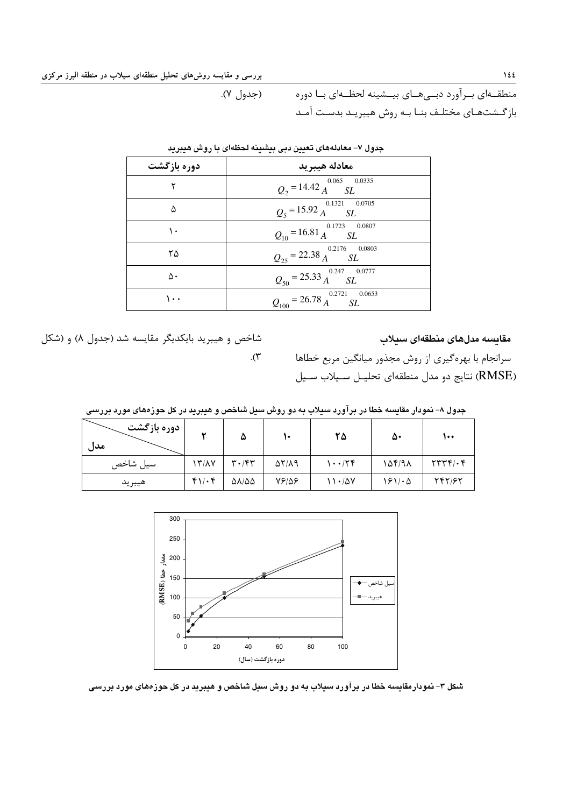۱٤ هستار المسلم بين المسلم المسلم المسلم المسلم المسلم المسلم المسلم المسلم المسلم المسلم العراق المسلم المسلم المسلم المسلم المسلم المسلم المسلم المسلم المسلم المسلم المسلم المسلم المسلم المسلم المسلم المسلم المسلم المسلم

 ' 
\*- FM. ,4 \* # 
A 
\*- PS, A - 
 # 0  
 ,
\_ /;L \* # -4 < .(h &)

| دوره بازگشت | معادله هيبريد                                              |
|-------------|------------------------------------------------------------|
|             | $Q_2 = 14.42 \frac{^{0.065}}{A} \frac{^{0.0335}}{SL}$      |
| ۵           | $Q_5 = 15.92 \frac{^{0.1321}}{A} \frac{^{0.0705}}{SL}$     |
| ١.          | $Q_{10} = 16.81 \frac{0.1723}{A} \frac{0.0807}{SL}$        |
| ۲۵          | $Q_{25} = 22.38 \frac{^{0.2176}}{A} \frac{^{0.0803}}{SL}$  |
| ۵٠          | $Q_{50} = 25.33 \frac{^{0.247}}{A} \frac{^{0.0777}}{SL}$   |
| ۰۰          | $Q_{100} = 26.78 \frac{^{0.2721}}{A} \frac{^{0.0653}}{SL}$ |

جدول ۷– معادلههای تعیین دبی بیشینه لحظهای با روش هیبرید

.<br>شاخص و هیب بد بایکدیگ مقایسه شد (حدول ۸) و (شکل

مقايسه مدلهاى منطقهاى سيلاب

سرانجام با بهره گیری از روش محذق میانگین مربع خطاها (RMSE) نتايج دو مدل منطقهاي تحليـل سـيلاب سـيل

| جدول ۸– نمودار مقایسه خطا در برآورد سیلاب به دو روش سیل شاخص و هیبرید در کل حوزههای مورد بررسی |  |  |  |  |
|------------------------------------------------------------------------------------------------|--|--|--|--|
|------------------------------------------------------------------------------------------------|--|--|--|--|

.( $\mathbf{\breve{y}}$ 

| دوره بازگشت<br>مدل |           | ۵                             |                     | ۲۵         | ۵۰     | ۱۰۰                                        |
|--------------------|-----------|-------------------------------|---------------------|------------|--------|--------------------------------------------|
| سيل شاخص           | 13/17     | $\mathbf{r} \cdot \mathbf{r}$ | $\Delta Y/\Delta q$ | 1.174      | 154198 | $\mathbf{Y}\mathbf{Y}\mathbf{Y}\mathbf{Y}$ |
| هيبريد             | $f\cup f$ | $\Delta\lambda/\Delta\Delta$  | 78158               | $11 - 100$ | ۱۶۱/۰۵ | 747/97                                     |



شکل ۳– نمودارمقایسه خطا در برآورد سیلاب به دو روش سیل شاخص و هیبرید در کل حوزههای مورد بررسی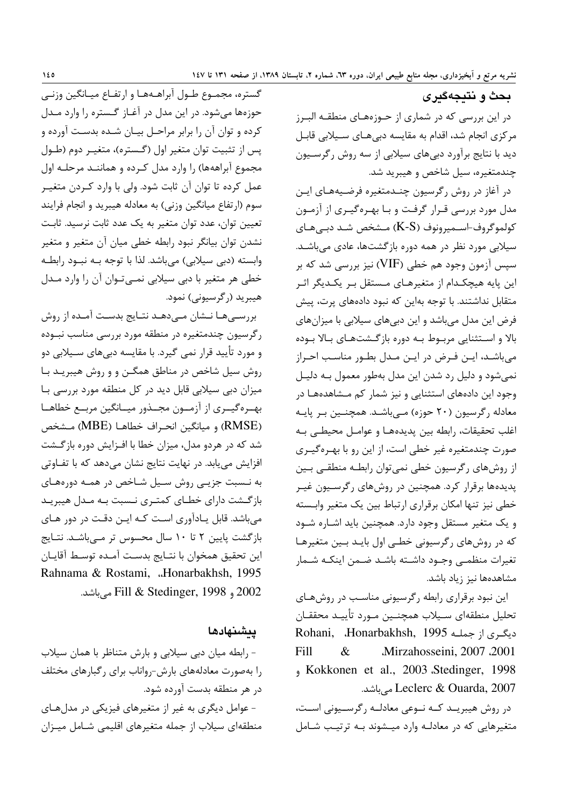بحث و نتيجهگيري در این بررسی که در شماری از حــوزههــای منطقــه البــرز مرکزی انجام شد، اقدام به مقایسه دبیهای سـیلابی قابـل دید با نتایج برآورد دبیهای سیلابی از سه روش رگرسـیون چندمتغیره، سیل شاخص و هیبرید شد.

در آغاز در روش رگرسیون چنـدمتغیره فرضـیههـای ایـن مدل مورد بررسی قـرار گرفـت و بـا بهـرهگيـري از آزمـون کولموگروف-اسـمیرونوف (K-S) مـشخص شـد دبـی هـای سیلابی مورد نظر در همه دوره بازگشتها، عادی می باشـد. سیس آزمون وجود هم خطی (VIF) نیز بررسی شد که بر این پایه هیچکدام از متغیرهـای مـستقل بـر یکـدیگر اثـر متقابل نداشتند. با توجه بهاین که نبود دادههای پرت، پیش فرض این مدل میباشد و این دبیهای سیلابی با میزانهای بالا و استثنایی مربوط به دوره بازگشتهای بالا بوده می باشـد، ایـن فـرض در ایـن مـدل بطـور مناسـب احـراز نمیشود و دلیل رد شدن این مدل بهطور معمول بـه دلیـل وجود این دادههای استثنایی و نیز شمار کم مـشاهدههـا در معادله رگرسیون (۲۰ حوزه) مے باشد. همچنـین بـر پایـه اغلب تحقيقات، رابطه بين پديدههـا و عوامـل محيطـي بـه صورت چندمتغیره غیر خطی است، از این رو با بهـرهگیـری از روشهای رگرسیون خطی نمی توان رابطـه منطقـی بـین پدیدهها برقرار کرد. همچنین در روشهای رگرسیون غیـر خطي نيز تنها امكان برقراري ارتباط بين يك متغير وابـسته و یک متغیر مستقل وجود دارد. همچنین باید اشـاره شـود که در روشهای رگرسیونی خطـی اول بایـد بـین متغیرهـا تغيرات منظمـى وجـود داشـته باشـد ضـمن اينكـه شـمار مشاهدهها نیز زیاد باشد.

این نبود برقراری رابطه رگرسیونی مناسب در روشهای تحليل منطقهاي سـيلاب همچنـين مـورد تأييـد محققـان Rohani, Honarbakhsh, 1995 دیگری از جملـه Mirzahosseini, 2007 .2001 Fill  $\&$ , Kokkonen et al., 2003 Stedinger, 1998 Leclerc & Ouarda, 2007 مىباشد.

در روش هیبریـد کـه نـوعی معادلـه رگرسـیونی اسـت، متغیرهایی که در معادلـه وارد میـشوند بـه ترتیـب شـامل

گستره، مجمـوع طـول آبراهـههـا و ارتفـاع ميـانگين وزنـي حوزهها می شود. در این مدل در آغـاز گـستره را وارد مـدل کرده و توان آن را برابر مراحـل بیـان شـده بدسـت آورده و پس از تثبیت توان متغیر اول (گـستره)، متغیـر دوم (طـول مجموع آبراههها) را وارد مدل كـرده و هماننــد مرحلــه اول عمل کرده تا توان آن ثابت شود. ولی با وارد کـردن متغیـر سوم (ارتفاع میانگین وزنی) به معادله هیبرید و انجام فرایند تعیین توان، عدد توان متغیر به یک عدد ثابت نرسید. ثابت نشدن توان بیانگر نبود رابطه خطی میان آن متغیر و متغیر وابسته (دبی سیلابی) می،باشد. لذا با توجه بــه نبــود رابطــه خطی هر متغیر با دبی سیلابی نمـی تـوان آن را وارد مـدل هيبريد (رگرسيوني) نمود.

بررسے ها نــشان مــی۵هـد نتـایج بدسـت آمـده از روش رگرسیون چندمتغیره در منطقه مورد بررسی مناسب نبـوده و مورد تأیید قرار نمی گیرد. با مقایسه دبی های سـیلابی دو روش سیل شاخص در مناطق همگـن و و روش هیبریـد بـا میزان دبی سیلابی قابل دید در کل منطقه مورد بررسی با بهـرهگیــری از آزمــون مجــذور میــانگین مربــع خطاهــا (RMSE) و ميانكين انحراف خطاهـا (MBE) مـشخص شد که در هردو مدل، میزان خطا با افـزایش دوره بازگـشت افزایش می یابد. در نهایت نتایج نشان میدهد که با تفـاوتی به نـسبت جزیـی روش سـیل شـاخص در همـه دورههـای بازگـشت دارای خطـای کمتـری نـسبت بـه مـدل هیبریـد میباشد. قابل یـادآوری اسـت کـه ایـن دقـت در دور هـای بازگشت پایین ۲ تا ۱۰ سال محسوس تر مـیباشـد. نتـایج اين تحقيق همخوان با نتـايج بدسـت آمـده توسـط آقايـان Rahnama & Rostami, ..Honarbakhsh, 1995 2002 و Fill & Stedinger, 1998 مے باشد.

## يىشىنھادھا

- رابطه میان دبی سیلابی و بارش متناظر با همان سیلاب را بهصورت معادلههای بارش-رواناب برای رگبارهای مختلف در هر منطقه بدست آورده شود. - عوامل دیگری به غیر از متغیرهای فیزیکی در مدل هـای

منطقهای سیلاب از جمله متغیرهای اقلیمی شـامل میـزان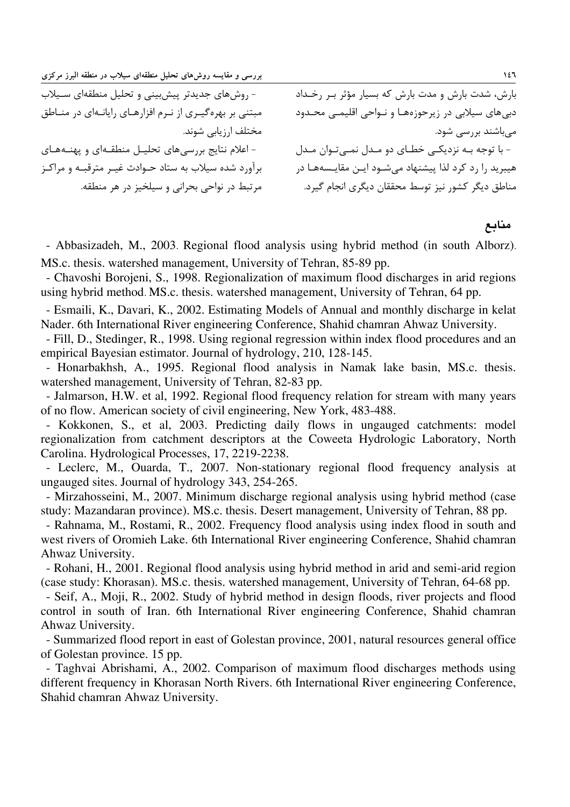| بررسی و مقایسه روشهای تحلیل منطقهای سیلاب در منطقه البرز مرکزی |                                                       |
|----------------------------------------------------------------|-------------------------------------------------------|
| - روشهای جدیدتر پیشبینی و تحلیل منطقهای سیلاب                  | بارش، شدت بارش و مدت بارش که بسیار مؤثر بر رخداد      |
| مبتنی بر بهرهگیری از نرم افزارهای رایانهای در مناطق            | دبیهای سیلابی در زیرحوزهها و نـواحی اقلیمـی محـدود    |
| مختلف ارزيابي شوند.                                            | میباشند بررسی شود.                                    |
| - اعلام نتایج بررسیهای تحلیل منطقهای و پهنههای                 | - با توجه به نزدیکی خطای دو مدل نمیتوان مدل           |
| برآورد شده سیلاب به ستاد حـوادث غیـر مترقبـه و مراکـز          | هیبرید را رد کرد لذا پیشنهاد میشود ایـن مقایـسههـا در |
| مرتبط در نواحی بحرانی و سیلخیز در هر منطقه.                    | مناطق دیگر کشور نیز توسط محققان دیگری انجام گیرد.     |

منابع

- Abbasizadeh, M., 2003. Regional flood analysis using hybrid method (in south Alborz). MS.c. thesis. watershed management, University of Tehran, 85-89 pp.

- Chavoshi Borojeni, S., 1998. Regionalization of maximum flood discharges in arid regions using hybrid method. MS.c. thesis. watershed management, University of Tehran, 64 pp.

- Esmaili, K., Davari, K., 2002. Estimating Models of Annual and monthly discharge in kelat Nader. 6th International River engineering Conference, Shahid chamran Ahwaz University.

- Fill, D., Stedinger, R., 1998. Using regional regression within index flood procedures and an empirical Bayesian estimator. Journal of hydrology, 210, 128-145.

- Honarbakhsh, A., 1995. Regional flood analysis in Namak lake basin, MS.c. thesis. watershed management, University of Tehran, 82-83 pp.

- Jalmarson, H.W. et al, 1992. Regional flood frequency relation for stream with many years of no flow. American society of civil engineering, New York, 483-488.

- Kokkonen, S., et al, 2003. Predicting daily flows in ungauged catchments: model regionalization from catchment descriptors at the Coweeta Hydrologic Laboratory, North Carolina. Hydrological Processes, 17, 2219-2238.

- Leclerc, M., Ouarda, T., 2007. Non-stationary regional flood frequency analysis at ungauged sites. Journal of hydrology 343, 254-265.

- Mirzahosseini, M., 2007. Minimum discharge regional analysis using hybrid method (case study: Mazandaran province). MS.c. thesis. Desert management, University of Tehran, 88 pp.

- Rahnama, M., Rostami, R., 2002. Frequency flood analysis using index flood in south and west rivers of Oromieh Lake. 6th International River engineering Conference, Shahid chamran Ahwaz University.

- Rohani, H., 2001. Regional flood analysis using hybrid method in arid and semi-arid region (case study: Khorasan). MS.c. thesis. watershed management, University of Tehran, 64-68 pp.

- Seif, A., Moji, R., 2002. Study of hybrid method in design floods, river projects and flood control in south of Iran. 6th International River engineering Conference, Shahid chamran Ahwaz University.

- Summarized flood report in east of Golestan province, 2001, natural resources general office of Golestan province. 15 pp.

- Taghvai Abrishami, A., 2002. Comparison of maximum flood discharges methods using different frequency in Khorasan North Rivers. 6th International River engineering Conference, Shahid chamran Ahwaz University.